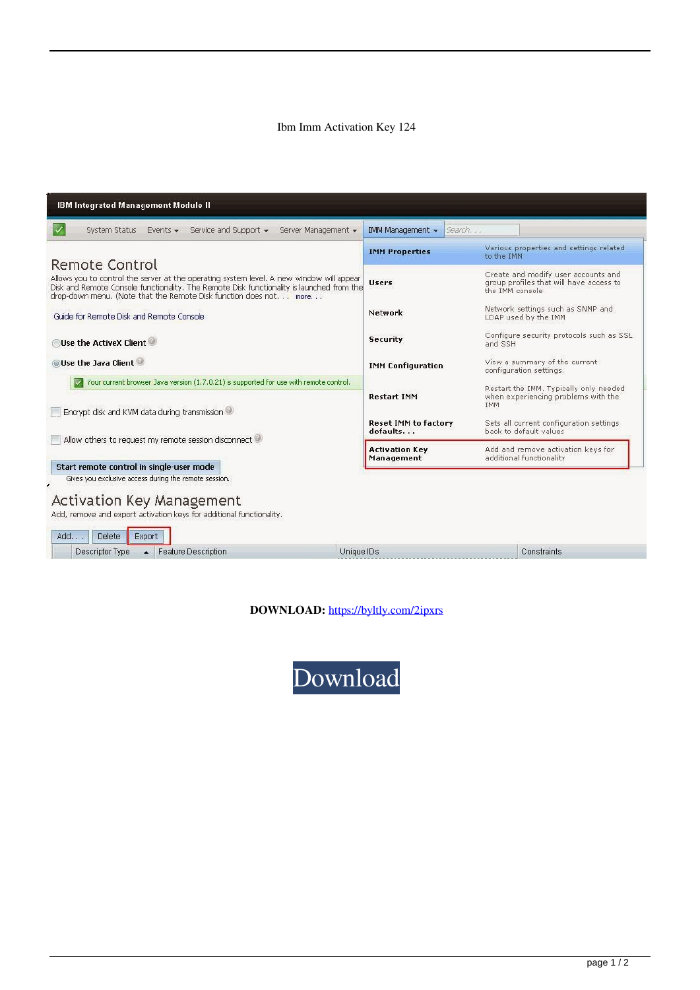## Ibm Imm Activation Key 124

| <b>IBM Integrated Management Module II</b>                                                                                                                                                                                                                                          |                                         |                                                                                                    |
|-------------------------------------------------------------------------------------------------------------------------------------------------------------------------------------------------------------------------------------------------------------------------------------|-----------------------------------------|----------------------------------------------------------------------------------------------------|
| Service and Support $\star$<br>System Status<br>Server Management +<br>Events $\star$                                                                                                                                                                                               | IMM Management +<br>Search              |                                                                                                    |
|                                                                                                                                                                                                                                                                                     | <b>IMM Properties</b>                   | Various properties and settings related<br>to the IMM                                              |
| <b>Remote Control</b><br>Allows you to control the server at the operating system level. A new window will appear<br>Disk and Remote Console functionality. The Remote Disk functionality is launched from the<br>drop-down menu. (Note that the Remote Disk function does not more | <b>Users</b>                            | Create and modify user accounts and<br>group profiles that will have access to<br>the IMM console. |
| Guide for Remote Disk and Remote Console                                                                                                                                                                                                                                            | Network                                 | Network settings such as SNMP and<br>LDAP used by the IMM                                          |
| Use the ActiveX Client                                                                                                                                                                                                                                                              | <b>Security</b>                         | Configure security protocols such as SSL<br>and SSH                                                |
| <b>O Use the Java Client</b>                                                                                                                                                                                                                                                        | <b>IMM Configuration</b>                | View a summary of the current<br>configuration settings.                                           |
| Your current browser Java version (1.7.0.21) is supported for use with remote control.<br>Encrypt disk and KVM data during transmission                                                                                                                                             | <b>Restart IMM</b>                      | Restart the IMM. Typically only needed<br>when experiencing problems with the<br><b>IMM</b>        |
| Allow others to request my remote session disconnect                                                                                                                                                                                                                                | <b>Reset IMM to factory</b><br>defaults | Sets all current configuration settings<br>back to default values                                  |
|                                                                                                                                                                                                                                                                                     | <b>Activation Key</b><br>Management     | Add and remove activation keys for<br>additional functionality                                     |
| Start remote control in single-user mode<br>Gives you exclusive access during the remote session.                                                                                                                                                                                   |                                         |                                                                                                    |
| <b>Activation Key Management</b><br>Add, remove and export activation keys for additional functionality.<br>Add<br>Delete<br>Export                                                                                                                                                 |                                         |                                                                                                    |
| Unique IDs<br>Descriptor Type<br><b>Feature Description</b><br>$\blacktriangle$                                                                                                                                                                                                     |                                         | Constraints                                                                                        |

DOWNLOAD: https://byltly.com/2ipxrs